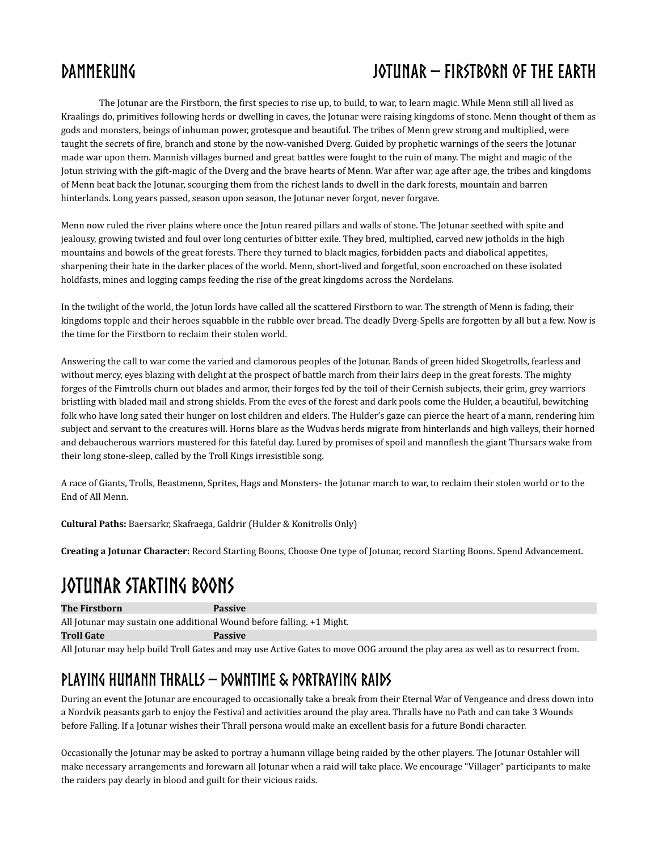The Jotunar are the Firstborn, the first species to rise up, to build, to war, to learn magic. While Menn still all lived as Kraalings do, primitives following herds or dwelling in caves, the Jotunar were raising kingdoms of stone. Menn thought of them as gods and monsters, beings of inhuman power, grotesque and beautiful. The tribes of Menn grew strong and multiplied, were taught the secrets of fire, branch and stone by the now-vanished Dverg. Guided by prophetic warnings of the seers the Jotunar made war upon them. Mannish villages burned and great battles were fought to the ruin of many. The might and magic of the Jotun striving with the gift-magic of the Dverg and the brave hearts of Menn. War after war, age after age, the tribes and kingdoms of Menn beat back the Jotunar, scourging them from the richest lands to dwell in the dark forests, mountain and barren hinterlands. Long years passed, season upon season, the Jotunar never forgot, never forgave.

Menn now ruled the river plains where once the Jotun reared pillars and walls of stone. The Jotunar seethed with spite and jealousy, growing twisted and foul over long centuries of bitter exile. They bred, multiplied, carved new jotholds in the high mountains and bowels of the great forests. There they turned to black magics, forbidden pacts and diabolical appetites, sharpening their hate in the darker places of the world. Menn, short-lived and forgetful, soon encroached on these isolated holdfasts, mines and logging camps feeding the rise of the great kingdoms across the Nordelans.

In the twilight of the world, the Jotun lords have called all the scattered Firstborn to war. The strength of Menn is fading, their kingdoms topple and their heroes squabble in the rubble over bread. The deadly Dverg-Spells are forgotten by all but a few. Now is the time for the Firstborn to reclaim their stolen world.

Answering the call to war come the varied and clamorous peoples of the Jotunar. Bands of green hided Skogetrolls, fearless and without mercy, eyes blazing with delight at the prospect of battle march from their lairs deep in the great forests. The mighty forges of the Fimtrolls churn out blades and armor, their forges fed by the toil of their Cernish subjects, their grim, grey warriors bristling with bladed mail and strong shields. From the eves of the forest and dark pools come the Hulder, a beautiful, bewitching folk who have long sated their hunger on lost children and elders. The Hulder's gaze can pierce the heart of a mann, rendering him subject and servant to the creatures will. Horns blare as the Wudvas herds migrate from hinterlands and high valleys, their horned and debaucherous warriors mustered for this fateful day. Lured by promises of spoil and mannflesh the giant Thursars wake from their long stone-sleep, called by the Troll Kings irresistible song.

A race of Giants, Trolls, Beastmenn, Sprites, Hags and Monsters- the Jotunar march to war, to reclaim their stolen world or to the End of All Menn.

**Cultural Paths:** Baersarkr, Skafraega, Galdrir (Hulder & Konitrolls Only)

**Creating a Jotunar Character:** Record Starting Boons, Choose One type of Jotunar, record Starting Boons. Spend Advancement.

# **Jotunar Starting Boons**

**The Firstborn Passive**

All Jotunar may sustain one additional Wound before falling. +1 Might. **Troll Gate Passive**

All Jotunar may help build Troll Gates and may use Active Gates to move OOG around the play area as well as to resurrect from.

## **Playing Humann Thralls – Downtime & portraying Raids**

During an event the Jotunar are encouraged to occasionally take a break from their Eternal War of Vengeance and dress down into a Nordvik peasants garb to enjoy the Festival and activities around the play area. Thralls have no Path and can take 3 Wounds before Falling. If a Jotunar wishes their Thrall persona would make an excellent basis for a future Bondi character.

Occasionally the Jotunar may be asked to portray a humann village being raided by the other players. The Jotunar Ostahler will make necessary arrangements and forewarn all Jotunar when a raid will take place. We encourage "Villager" participants to make the raiders pay dearly in blood and guilt for their vicious raids.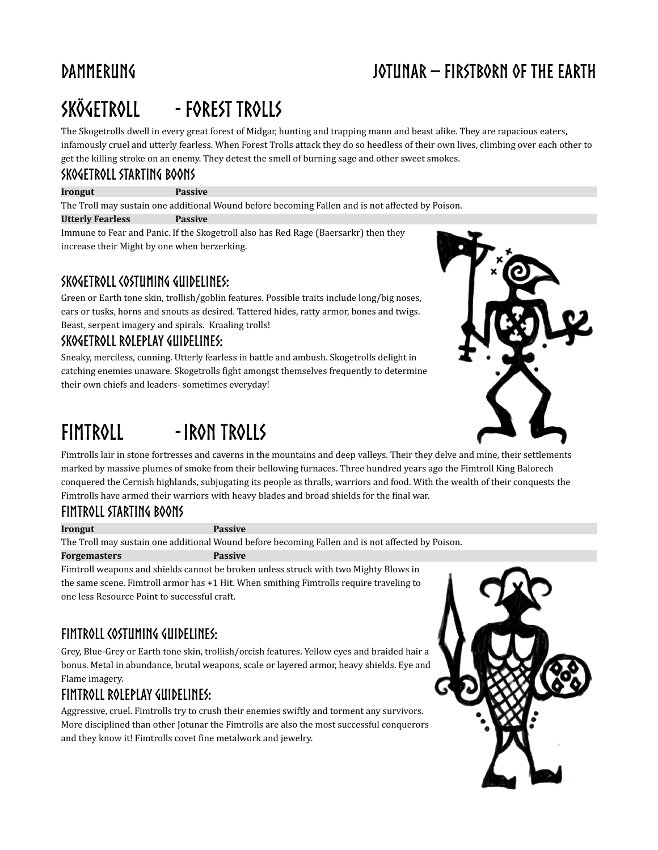# **Skögetroll - Forest Trolls**

The Skogetrolls dwell in every great forest of Midgar, hunting and trapping mann and beast alike. They are rapacious eaters, infamously cruel and utterly fearless. When Forest Trolls attack they do so heedless of their own lives, climbing over each other to get the killing stroke on an enemy. They detest the smell of burning sage and other sweet smokes.

#### **Skogetroll Starting Boons**

#### **Irongut Passive**

The Troll may sustain one additional Wound before becoming Fallen and is not affected by Poison.

**Utterly Fearless Passive**

Immune to Fear and Panic. If the Skogetroll also has Red Rage (Baersarkr) then they increase their Might by one when berzerking.

#### **Skogetroll Costuming Guidelines:**

Green or Earth tone skin, trollish/goblin features. Possible traits include long/big noses, ears or tusks, horns and snouts as desired. Tattered hides, ratty armor, bones and twigs. Beast, serpent imagery and spirals. Kraaling trolls!

#### **Skogetroll Roleplay Guidelines:**

Sneaky, merciless, cunning. Utterly fearless in battle and ambush. Skogetrolls delight in catching enemies unaware. Skogetrolls fight amongst themselves frequently to determine their own chiefs and leaders- sometimes everyday!

# **Fimtroll -Iron Trolls**



Fimtrolls lair in stone fortresses and caverns in the mountains and deep valleys. Their they delve and mine, their settlements marked by massive plumes of smoke from their bellowing furnaces. Three hundred years ago the Fimtroll King Balorech conquered the Cernish highlands, subjugating its people as thralls, warriors and food. With the wealth of their conquests the Fimtrolls have armed their warriors with heavy blades and broad shields for the final war.

#### **Fimtroll starting Boons**

#### **Irongut Passive**

The Troll may sustain one additional Wound before becoming Fallen and is not affected by Poison.

#### **Forgemasters Passive**

Fimtroll weapons and shields cannot be broken unless struck with two Mighty Blows in the same scene. Fimtroll armor has +1 Hit. When smithing Fimtrolls require traveling to one less Resource Point to successful craft.

### **Fimtroll Costuming Guidelines:**

Grey, Blue-Grey or Earth tone skin, trollish/orcish features. Yellow eyes and braided hair a bonus. Metal in abundance, brutal weapons, scale or layered armor, heavy shields. Eye and Flame imagery.

### **Fimtroll Roleplay Guidelines:**

Aggressive, cruel. Fimtrolls try to crush their enemies swiftly and torment any survivors. More disciplined than other Jotunar the Fimtrolls are also the most successful conquerors and they know it! Fimtrolls covet fine metalwork and jewelry.

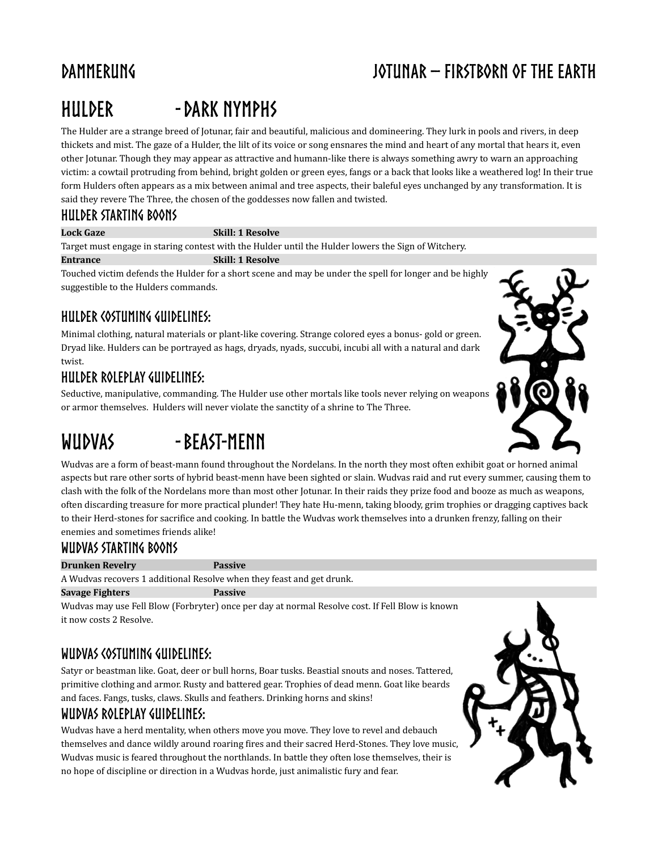# **Hulder -dark nymphs**

The Hulder are a strange breed of Jotunar, fair and beautiful, malicious and domineering. They lurk in pools and rivers, in deep thickets and mist. The gaze of a Hulder, the lilt of its voice or song ensnares the mind and heart of any mortal that hears it, even other Jotunar. Though they may appear as attractive and humann-like there is always something awry to warn an approaching victim: a cowtail protruding from behind, bright golden or green eyes, fangs or a back that looks like a weathered log! In their true form Hulders often appears as a mix between animal and tree aspects, their baleful eyes unchanged by any transformation. It is said they revere The Three, the chosen of the goddesses now fallen and twisted.

#### **Hulder starting Boons**

#### **Lock Gaze Skill: 1 Resolve**

Target must engage in staring contest with the Hulder until the Hulder lowers the Sign of Witchery.

#### **Entrance Skill: 1 Resolve**

Touched victim defends the Hulder for a short scene and may be under the spell for longer and be highly suggestible to the Hulders commands.

#### **Hulder Costuming Guidelines:**

Minimal clothing, natural materials or plant-like covering. Strange colored eyes a bonus- gold or green. Dryad like. Hulders can be portrayed as hags, dryads, nyads, succubi, incubi all with a natural and dark twist.

#### **Hulder Roleplay Guidelines:**

Seductive, manipulative, commanding. The Hulder use other mortals like tools never relying on weapons or armor themselves. Hulders will never violate the sanctity of a shrine to The Three.

# **Wudvas -Beast-Menn**



Wudvas are a form of beast-mann found throughout the Nordelans. In the north they most often exhibit goat or horned animal aspects but rare other sorts of hybrid beast-menn have been sighted or slain. Wudvas raid and rut every summer, causing them to clash with the folk of the Nordelans more than most other Jotunar. In their raids they prize food and booze as much as weapons, often discarding treasure for more practical plunder! They hate Hu-menn, taking bloody, grim trophies or dragging captives back to their Herd-stones for sacrifice and cooking. In battle the Wudvas work themselves into a drunken frenzy, falling on their enemies and sometimes friends alike!

### **Wudvas starting Boons**

#### **Drunken Revelry Passive**

A Wudvas recovers 1 additional Resolve when they feast and get drunk.

#### **Savage Fighters Passive**

Wudvas may use Fell Blow (Forbryter) once per day at normal Resolve cost. If Fell Blow is known it now costs 2 Resolve.

### **Wudvas Costuming Guidelines:**

Satyr or beastman like. Goat, deer or bull horns, Boar tusks. Beastial snouts and noses. Tattered, primitive clothing and armor. Rusty and battered gear. Trophies of dead menn. Goat like beards and faces. Fangs, tusks, claws. Skulls and feathers. Drinking horns and skins!

#### **Wudvas Roleplay Guidelines:**

Wudvas have a herd mentality, when others move you move. They love to revel and debauch themselves and dance wildly around roaring fires and their sacred Herd-Stones. They love music, Wudvas music is feared throughout the northlands. In battle they often lose themselves, their is no hope of discipline or direction in a Wudvas horde, just animalistic fury and fear.

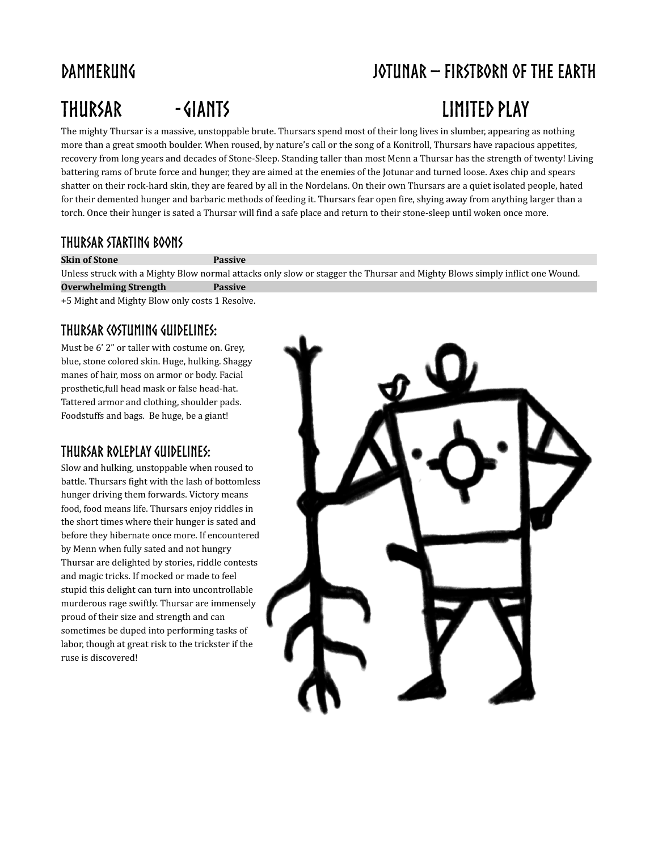# **Thursar -Giants Limited Play**

# **Dammerung Jotunar – Firstborn of the earth**

The mighty Thursar is a massive, unstoppable brute. Thursars spend most of their long lives in slumber, appearing as nothing more than a great smooth boulder. When roused, by nature's call or the song of a Konitroll, Thursars have rapacious appetites, recovery from long years and decades of Stone-Sleep. Standing taller than most Menn a Thursar has the strength of twenty! Living battering rams of brute force and hunger, they are aimed at the enemies of the Jotunar and turned loose. Axes chip and spears shatter on their rock-hard skin, they are feared by all in the Nordelans. On their own Thursars are a quiet isolated people, hated for their demented hunger and barbaric methods of feeding it. Thursars fear open fire, shying away from anything larger than a torch. Once their hunger is sated a Thursar will find a safe place and return to their stone-sleep until woken once more.

### **Thursar starting Boons**

**Skin of Stone Passive**

Unless struck with a Mighty Blow normal attacks only slow or stagger the Thursar and Mighty Blows simply inflict one Wound.

**Overwhelming Strength Passive**

+5 Might and Mighty Blow only costs 1 Resolve.

### **Thursar Costuming Guidelines:**

Must be 6' 2" or taller with costume on. Grey, blue, stone colored skin. Huge, hulking. Shaggy manes of hair, moss on armor or body. Facial prosthetic,full head mask or false head-hat. Tattered armor and clothing, shoulder pads. Foodstuffs and bags. Be huge, be a giant!

#### **Thursar Roleplay Guidelines:**

Slow and hulking, unstoppable when roused to battle. Thursars fight with the lash of bottomless hunger driving them forwards. Victory means food, food means life. Thursars enjoy riddles in the short times where their hunger is sated and before they hibernate once more. If encountered by Menn when fully sated and not hungry Thursar are delighted by stories, riddle contests and magic tricks. If mocked or made to feel stupid this delight can turn into uncontrollable murderous rage swiftly. Thursar are immensely proud of their size and strength and can sometimes be duped into performing tasks of labor, though at great risk to the trickster if the ruse is discovered!

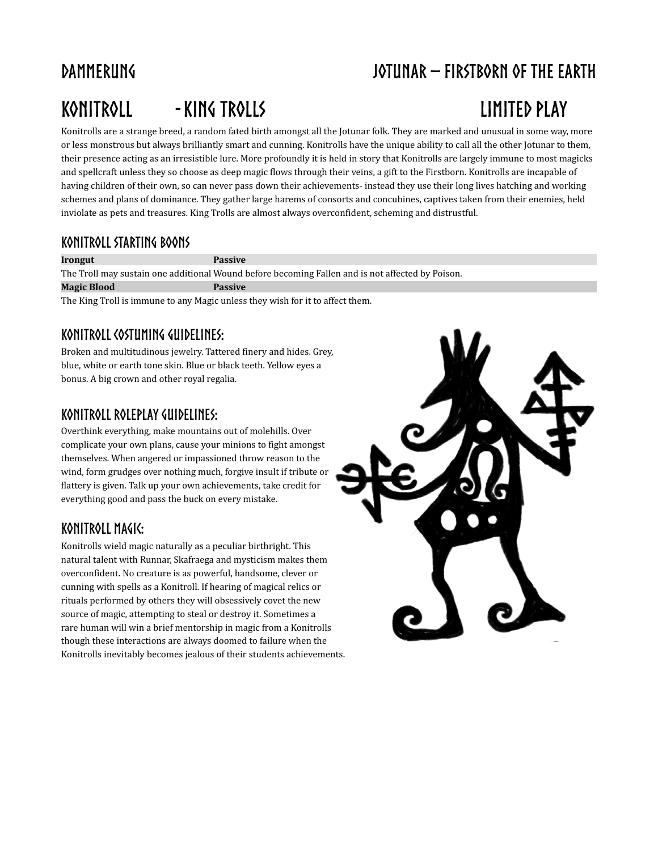# **Konitroll - King Trolls limited Play**

# **Dammerung Jotunar – Firstborn of the earth**

Konitrolls are a strange breed, a random fated birth amongst all the Jotunar folk. They are marked and unusual in some way, more or less monstrous but always brilliantly smart and cunning. Konitrolls have the unique ability to call all the other Jotunar to them, their presence acting as an irresistible lure. More profoundly it is held in story that Konitrolls are largely immune to most magicks and spellcraft unless they so choose as deep magic flows through their veins, a gift to the Firstborn. Konitrolls are incapable of having children of their own, so can never pass down their achievements- instead they use their long lives hatching and working schemes and plans of dominance. They gather large harems of consorts and concubines, captives taken from their enemies, held inviolate as pets and treasures. King Trolls are almost always overconfident, scheming and distrustful.

#### **Konitroll starting Boons**

**Irongut Passive** The Troll may sustain one additional Wound before becoming Fallen and is not affected by Poison. **Magic Blood Passive**

The King Troll is immune to any Magic unless they wish for it to affect them.

### **Konitroll Costuming Guidelines:**

Broken and multitudinous jewelry. Tattered finery and hides. Grey, blue, white or earth tone skin. Blue or black teeth. Yellow eyes a bonus. A big crown and other royal regalia.

### **Konitroll Roleplay Guidelines:**

Overthink everything, make mountains out of molehills. Over complicate your own plans, cause your minions to fight amongst themselves. When angered or impassioned throw reason to the wind, form grudges over nothing much, forgive insult if tribute or flattery is given. Talk up your own achievements, take credit for everything good and pass the buck on every mistake.

### **Konitroll Magic:**

Konitrolls wield magic naturally as a peculiar birthright. This natural talent with Runnar, Skafraega and mysticism makes them overconfident. No creature is as powerful, handsome, clever or cunning with spells as a Konitroll. If hearing of magical relics or rituals performed by others they will obsessively covet the new source of magic, attempting to steal or destroy it. Sometimes a rare human will win a brief mentorship in magic from a Konitrolls though these interactions are always doomed to failure when the Konitrolls inevitably becomes jealous of their students achievements.